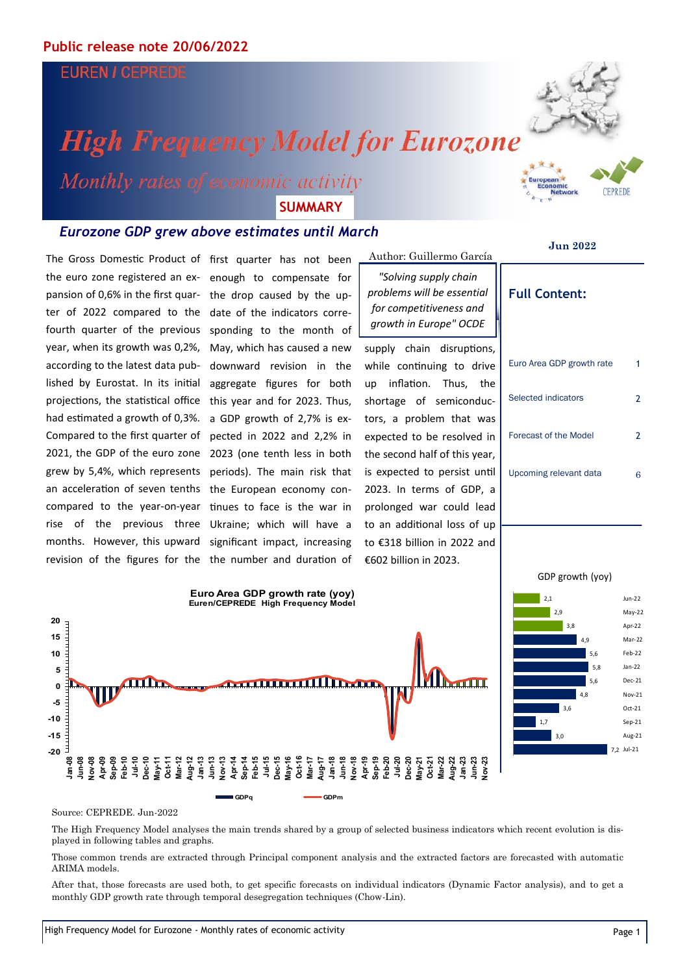## **EUREN / CEPREDE**

# **High Frequency Model for Eurozone**

Monthly rates of economic activity **SUMMARY**

### *Eurozone GDP grew above estimates until March*

the euro zone registered an expansion of 0,6% in the first quarter of 2022 compared to the fourth quarter of the previous year, when its growth was 0,2%, according to the latest data published by Eurostat. In its initial projections, the statistical office had estimated a growth of 0,3%. Compared to the first quarter of 2021, the GDP of the euro zone grew by 5,4%, which represents an acceleration of seven tenths compared to the year-on-year rise of the previous three months. However, this upward

The Gross Domestic Product of first quarter has not been \_Author: Guillermo García revision of the figures for the the number and duration of first quarter has not been enough to compensate for the drop caused by the update of the indicators corresponding to the month of May, which has caused a new downward revision in the aggregate figures for both this year and for 2023. Thus, a GDP growth of 2,7% is expected in 2022 and 2,2% in 2023 (one tenth less in both periods). The main risk that the European economy continues to face is the war in Ukraine; which will have a significant impact, increasing

*"Solving supply chain problems will be essential for competitiveness and growth in Europe" OCDE*

supply chain disruptions, while continuing to drive up inflation. Thus, the shortage of semiconductors, a problem that was expected to be resolved in the second half of this year, is expected to persist until 2023. In terms of GDP, a prolonged war could lead to an additional loss of up to €318 billion in 2022 and €602 billion in 2023.

### **Jun 2022**

**Full Content:**

# Euro Area GDP growth rate 1 Selected indicators 2 Forecast of the Model 2 Upcoming relevant data 6

### GDP growth (yoy)



**GDPq GDPm**



### Source: CEPREDE. Jun-2022

**-20 -15 -10 -5 0 5 10 15 20**

> **Jan-08 Jun-08 Nov-08**

The High Frequency Model analyses the main trends shared by a group of selected business indicators which recent evolution is displayed in following tables and graphs.

Those common trends are extracted through Principal component analysis and the extracted factors are forecasted with automatic ARIMA models.

After that, those forecasts are used both, to get specific forecasts on individual indicators (Dynamic Factor analysis), and to get a monthly GDP growth rate through temporal desegregation techniques (Chow-Lin).



**CEPREDE**